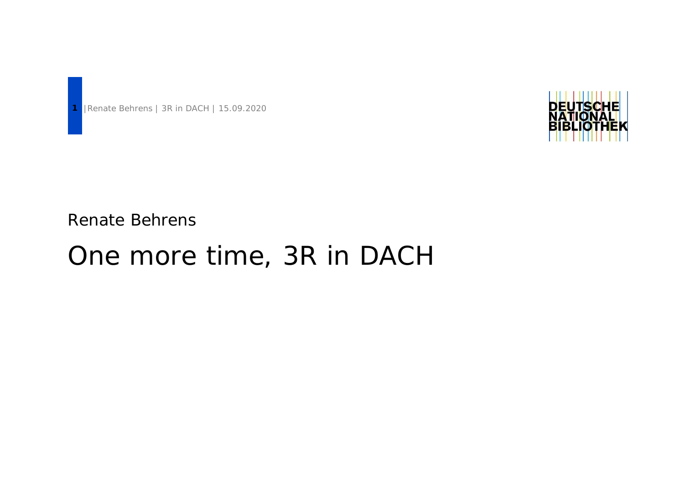

Renate Behrens

# One more time, 3R in DACH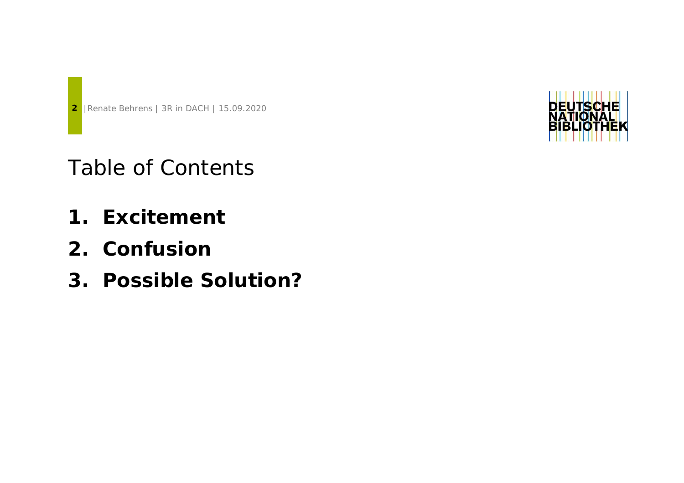

- **1. Excitement**
- **2. Confusion**
- **3. Possible Solution?**

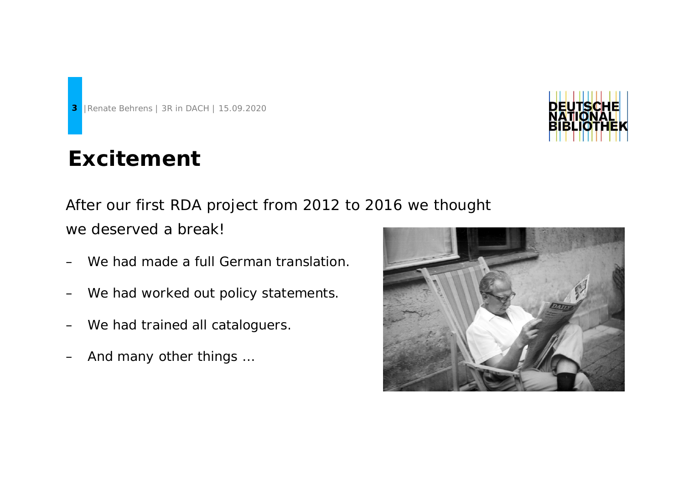## **Excitement**

After our first RDA project from 2012 to 2016 we thought we deserved a break!

- We had made a full German translation.
- We had worked out policy statements.
- We had trained all cataloguers.
- And many other things ...



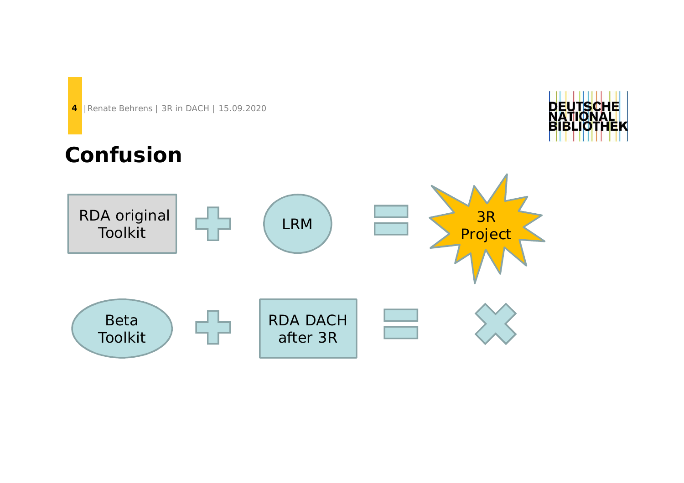## **Confusion**

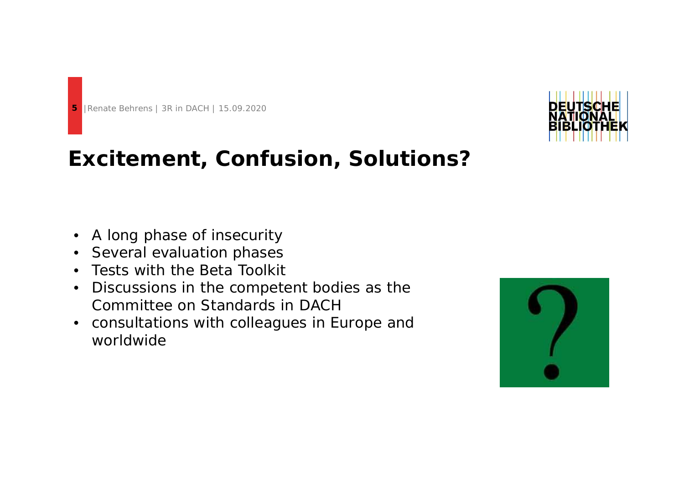



#### **Excitement, Confusion, Solutions?**

- A long phase of insecurity
- Several evaluation phases
- Tests with the Beta Toolkit
- Discussions in the competent bodies as the Committee on Standards in DACH
- consultations with colleagues in Europe and worldwide

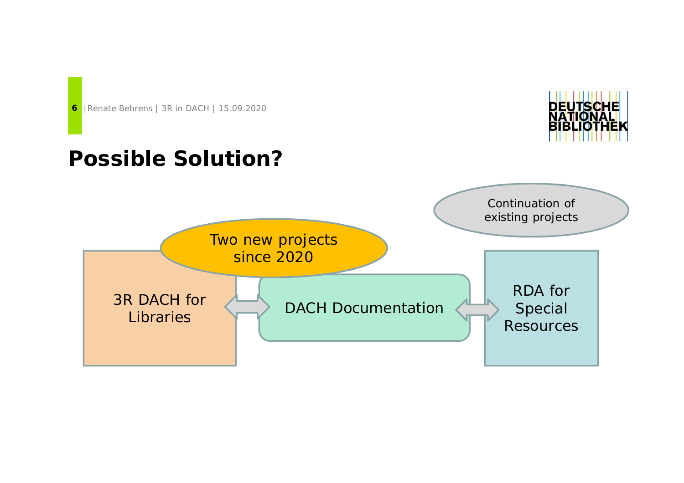



#### **Possible Solution?**

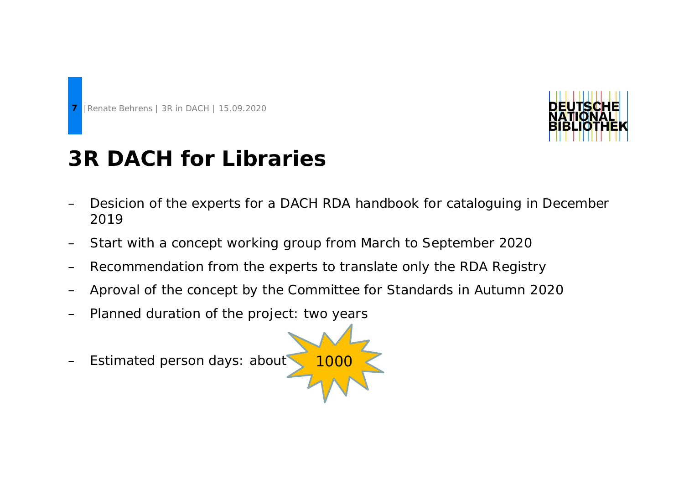



## **3R DACH for Libraries**

- Desicion of the experts for a DACH RDA handbook for cataloguing in December 2019
- Start with a concept working group from March to September 2020
- Recommendation from the experts to translate only the RDA Registry
- Aproval of the concept by the Committee for Standards in Autumn 2020
- Planned duration of the project: two years
- Estimated person days: about

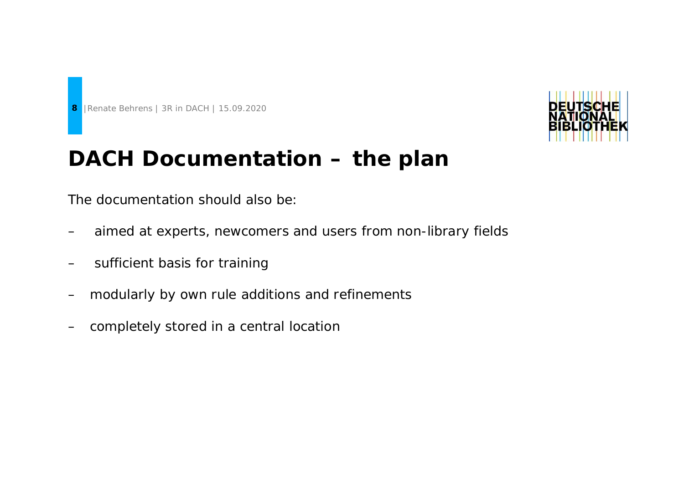



#### **DACH Documentation – the plan**

The documentation should also be:

- aimed at experts, newcomers and users from non-library fields
- sufficient basis for training
- modularly by own rule additions and refinements
- completely stored in a central location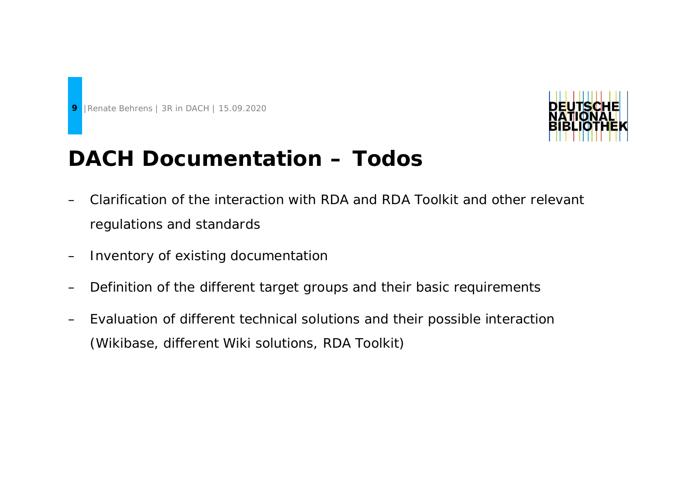



#### **DACH Documentation – Todos**

- Clarification of the interaction with RDA and RDA Toolkit and other relevant regulations and standards
- Inventory of existing documentation
- Definition of the different target groups and their basic requirements
- Evaluation of different technical solutions and their possible interaction (Wikibase, different Wiki solutions, RDA Toolkit)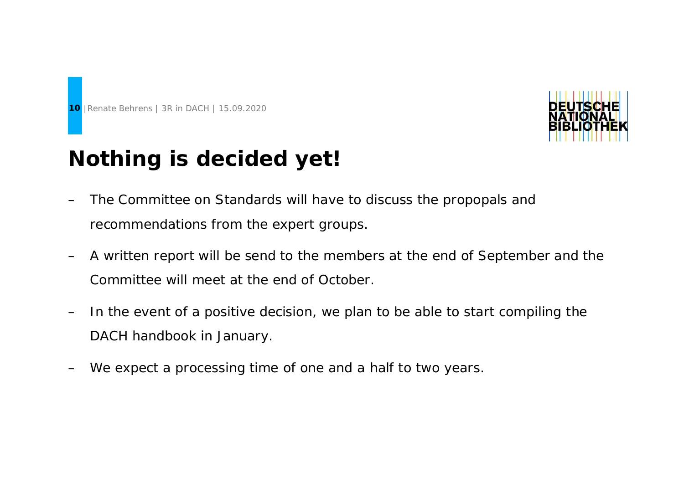



## **Nothing is decided yet!**

- The Committee on Standards will have to discuss the propopals and recommendations from the expert groups.
- A written report will be send to the members at the end of September and the Committee will meet at the end of October.
- In the event of a positive decision, we plan to be able to start compiling the DACH handbook in January.
- We expect a processing time of one and a half to two years.